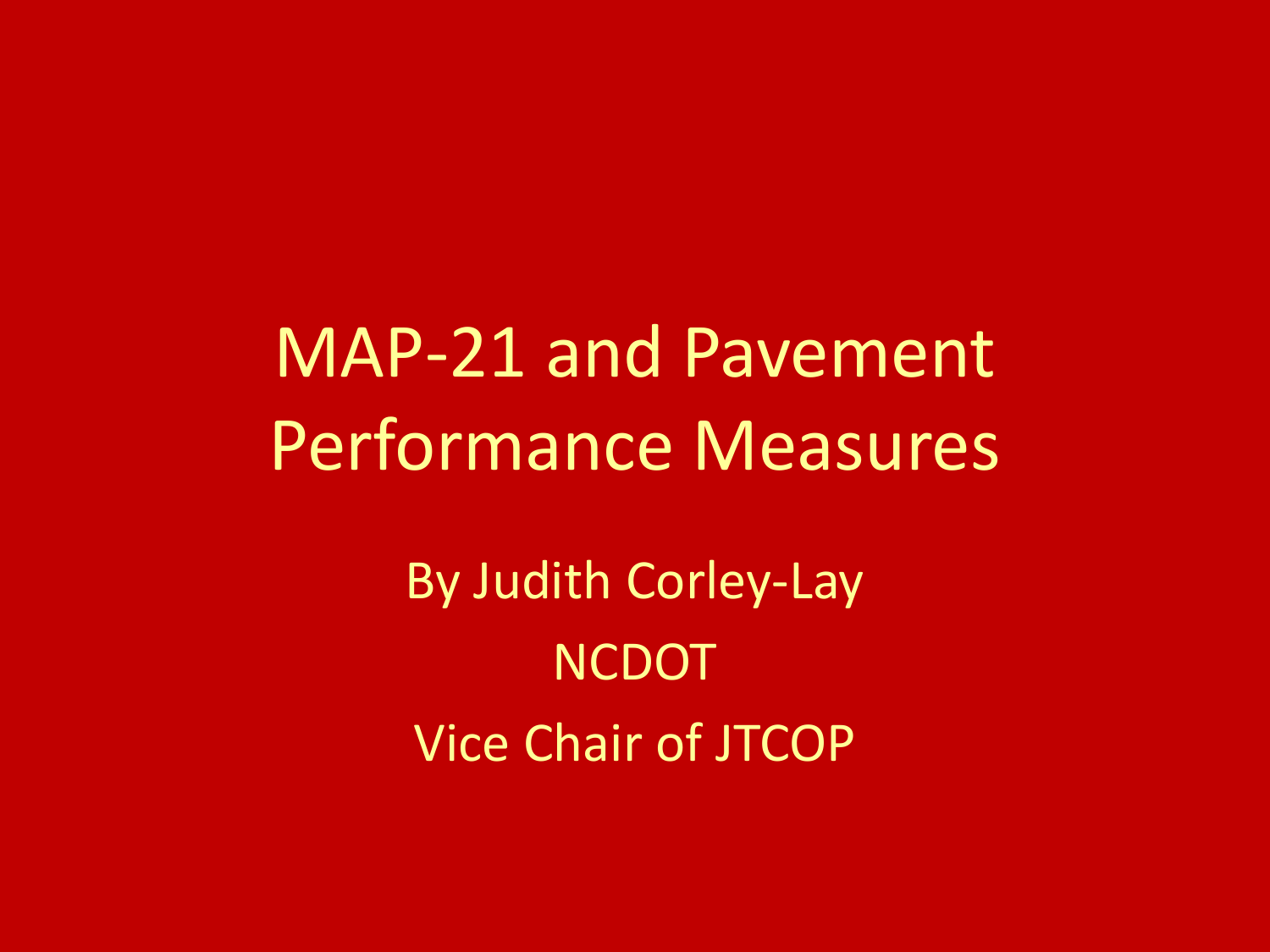MAP-21 and Pavement Performance Measures

> By Judith Corley-Lay **NCDOT** Vice Chair of JTCOP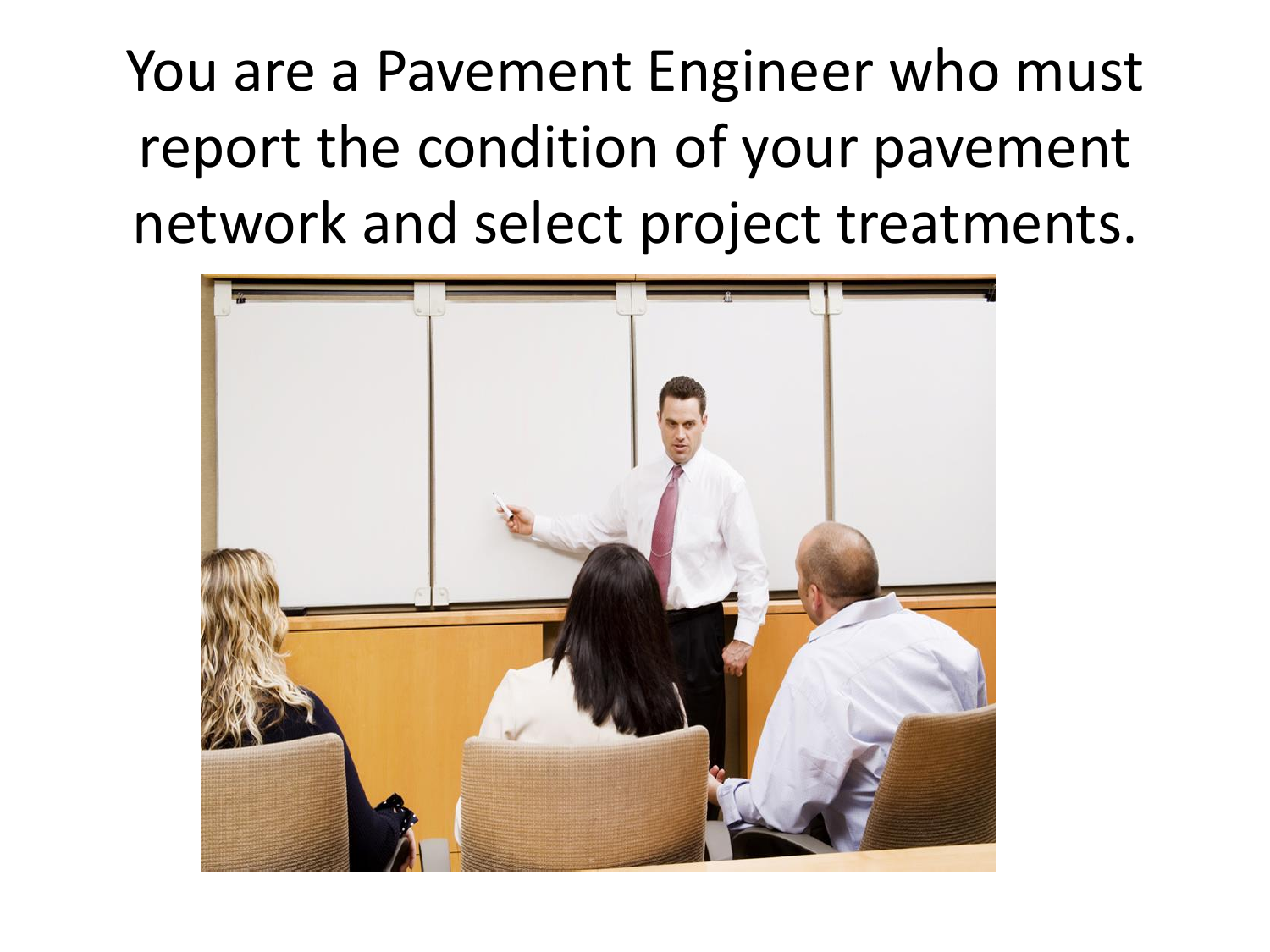You are a Pavement Engineer who must report the condition of your pavement network and select project treatments.

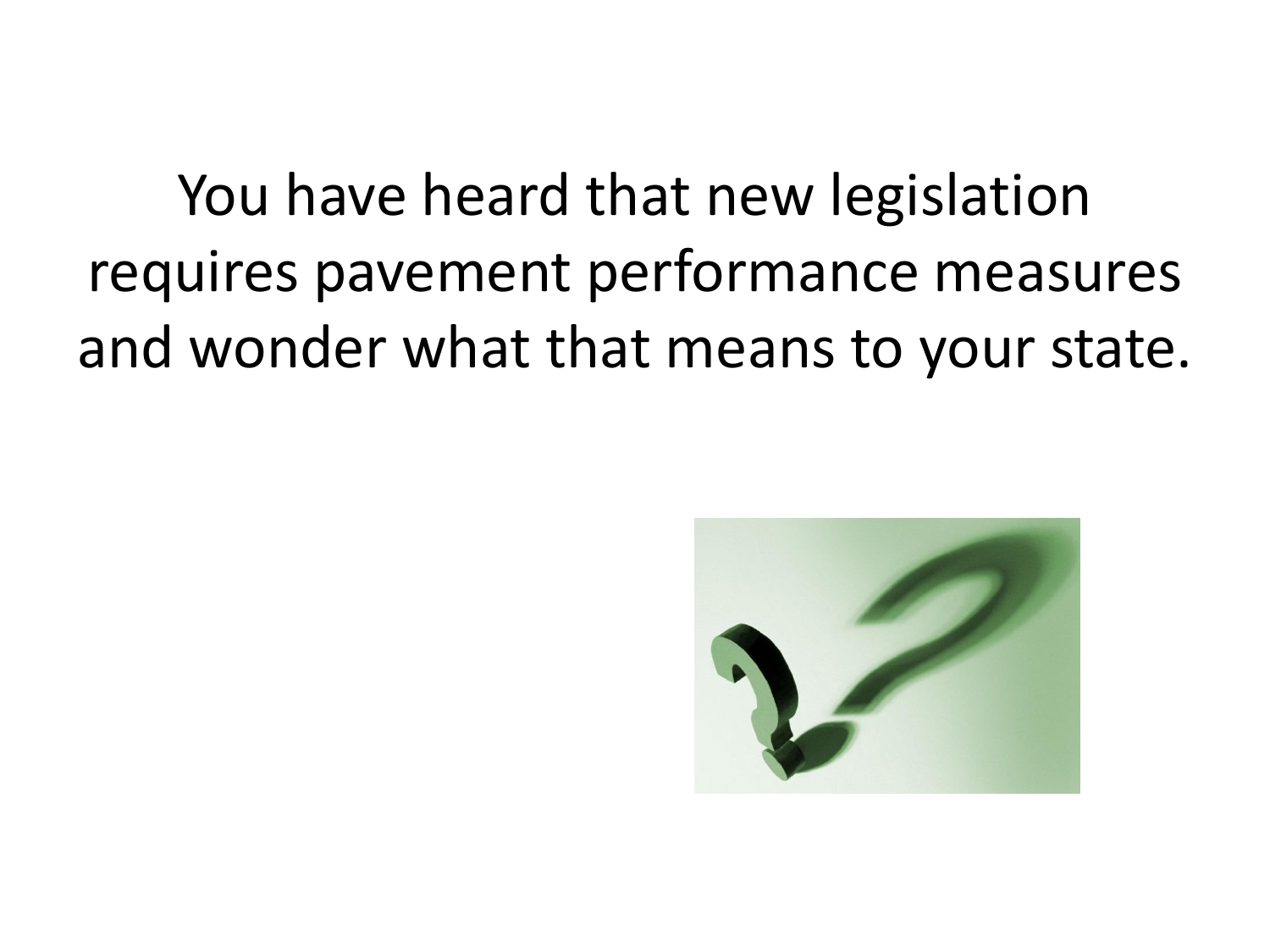You have heard that new legislation requires pavement performance measures and wonder what that means to your state.

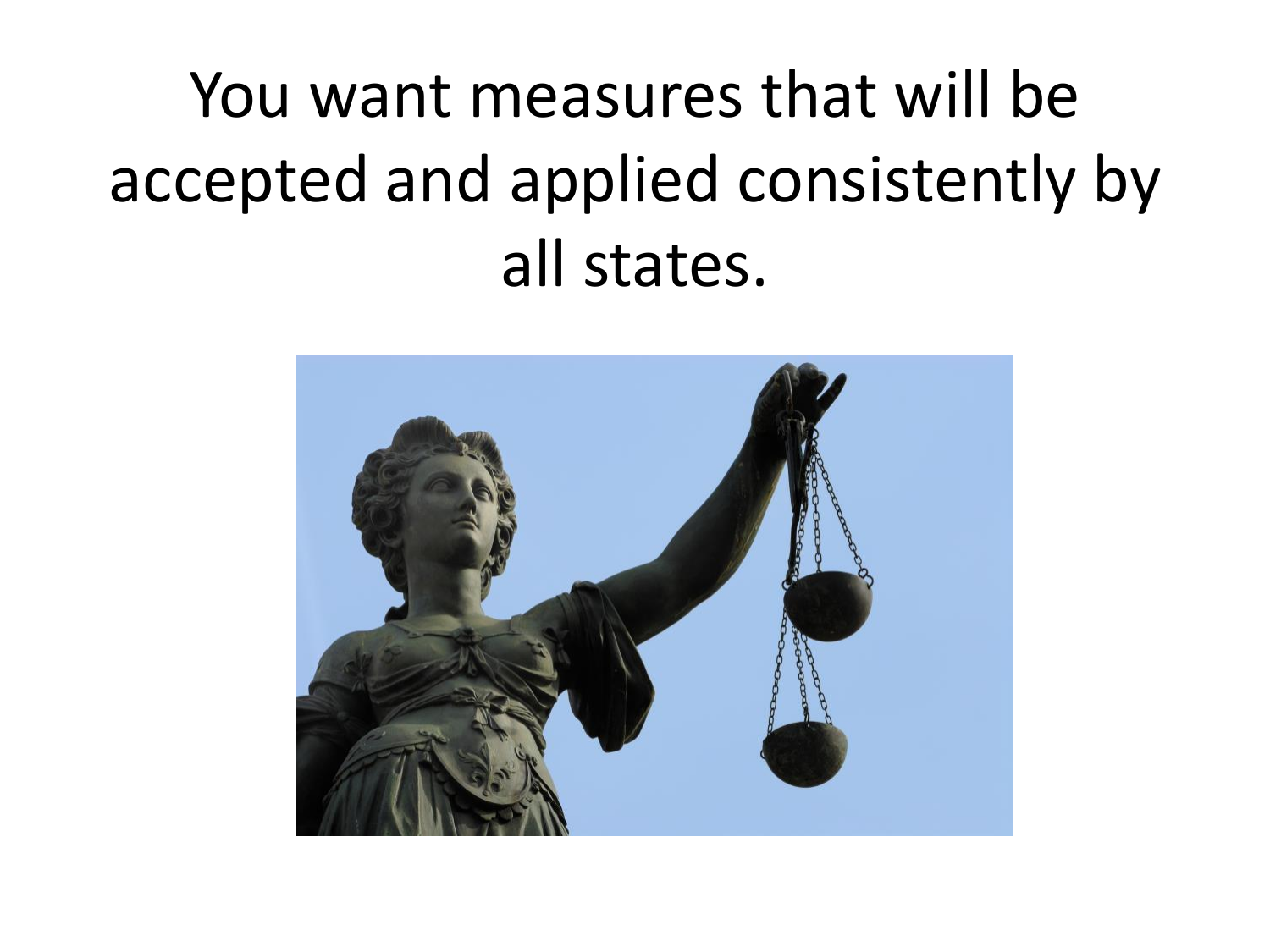# You want measures that will be accepted and applied consistently by all states.

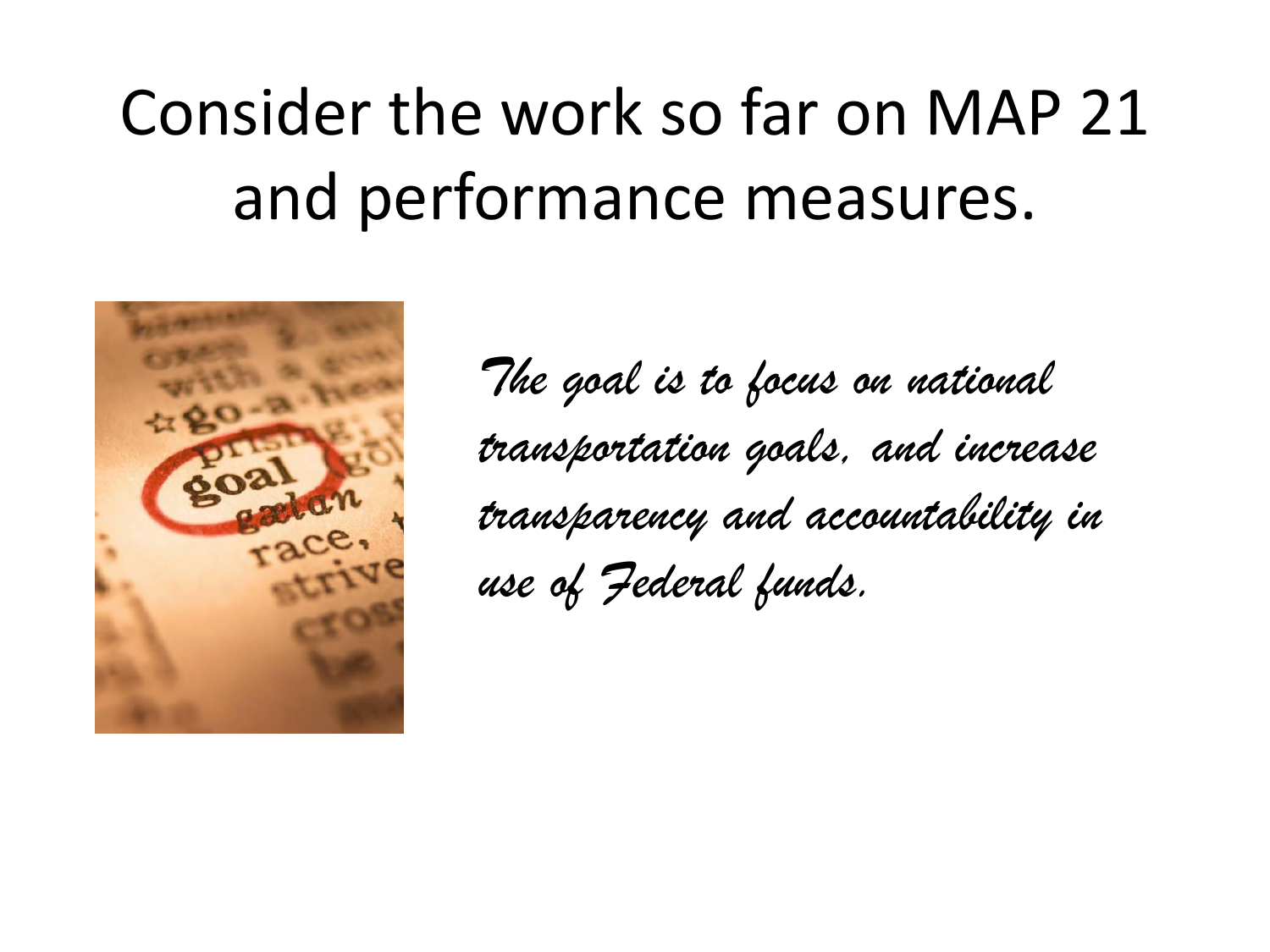# Consider the work so far on MAP 21 and performance measures.



*The goal is to focus on national transportation goals, and increase transparency and accountability in use of Federal funds.*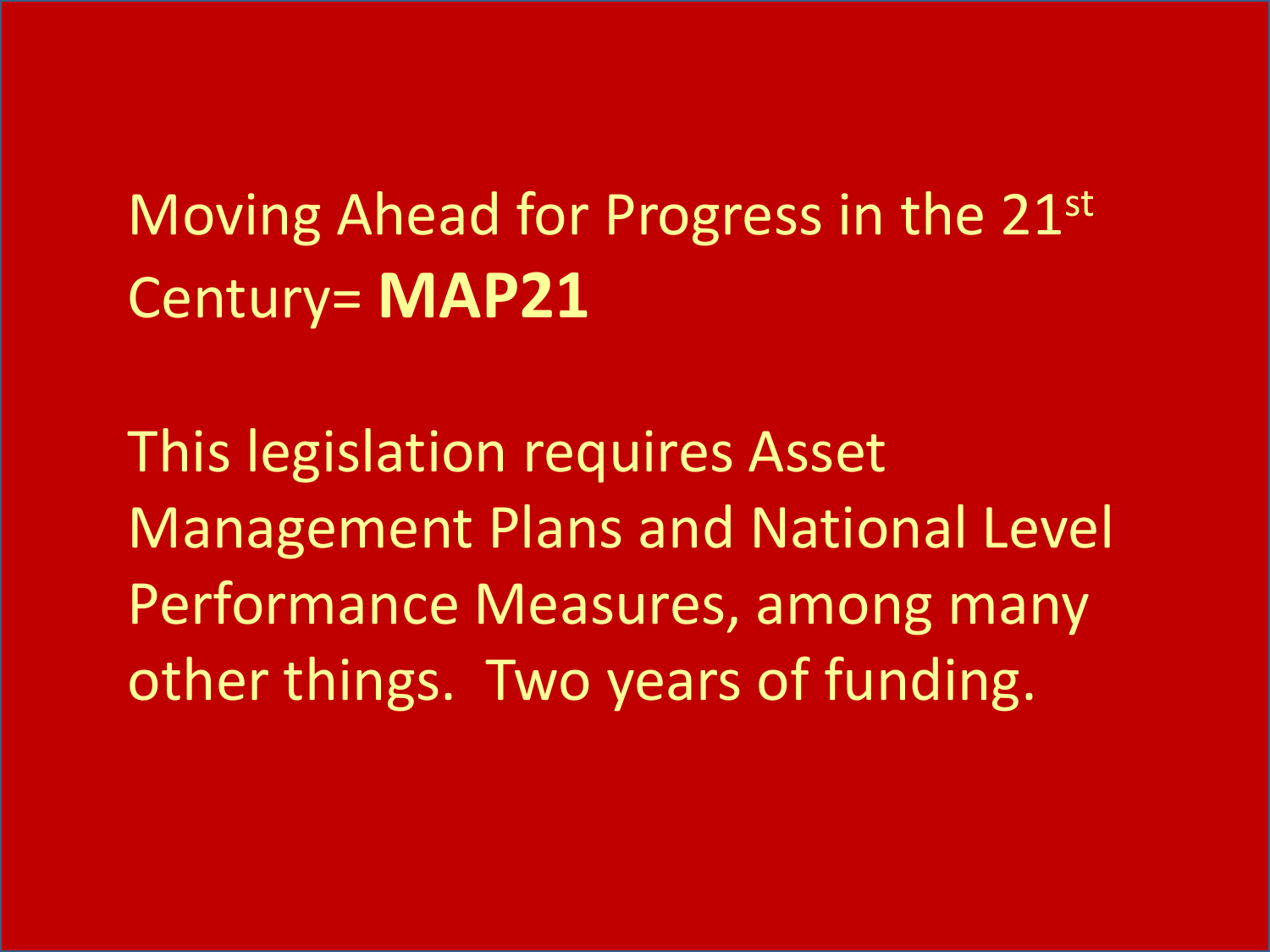Moving Ahead for Progress in the 21st Century= **MAP21**

This legislation requires Asset Management Plans and National Level Performance Measures, among many other things. Two years of funding.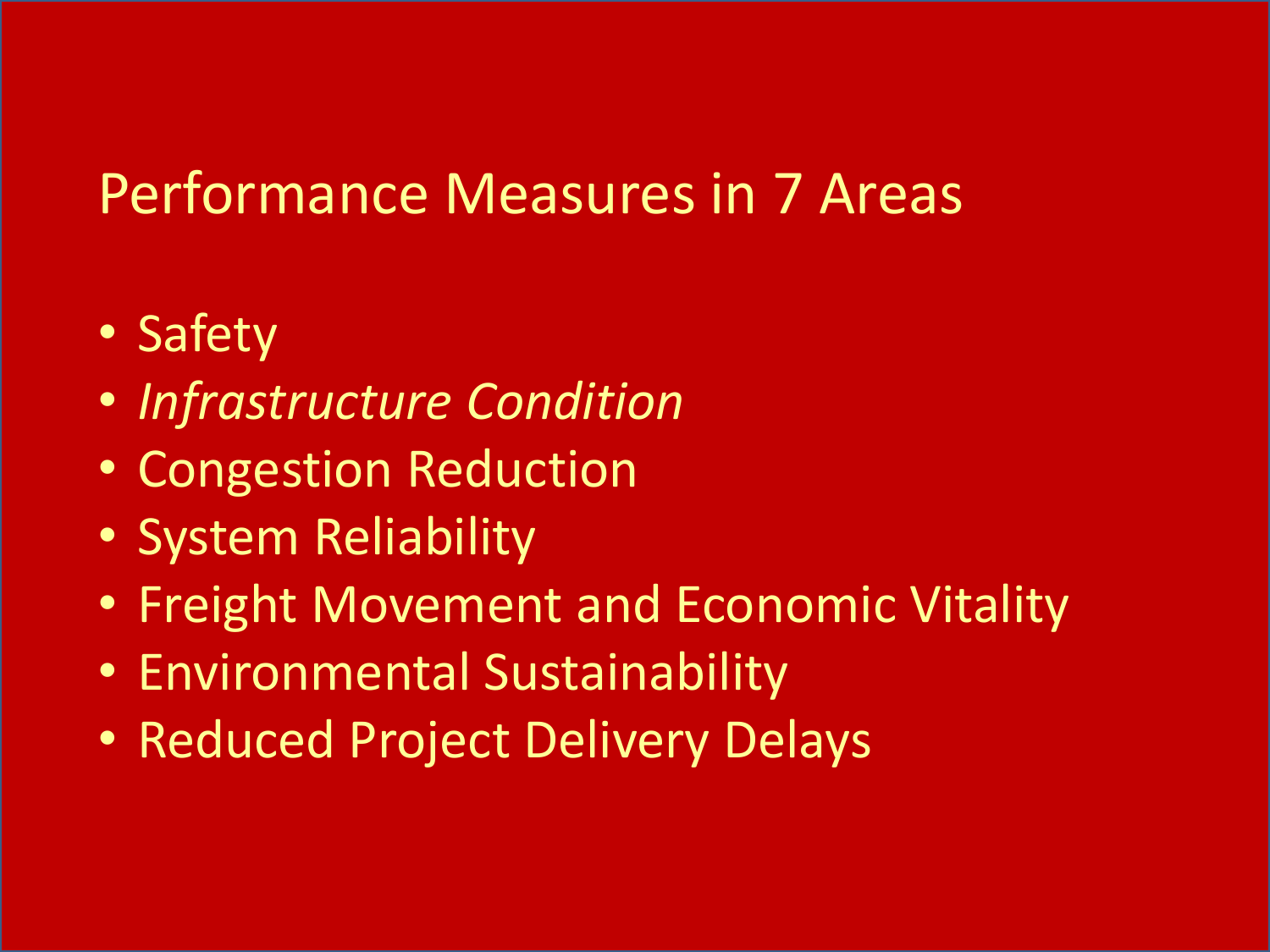#### Performance Measures in 7 Areas

- Safety
- *Infrastructure Condition*
- Congestion Reduction
- System Reliability
- Freight Movement and Economic Vitality
- Environmental Sustainability
- Reduced Project Delivery Delays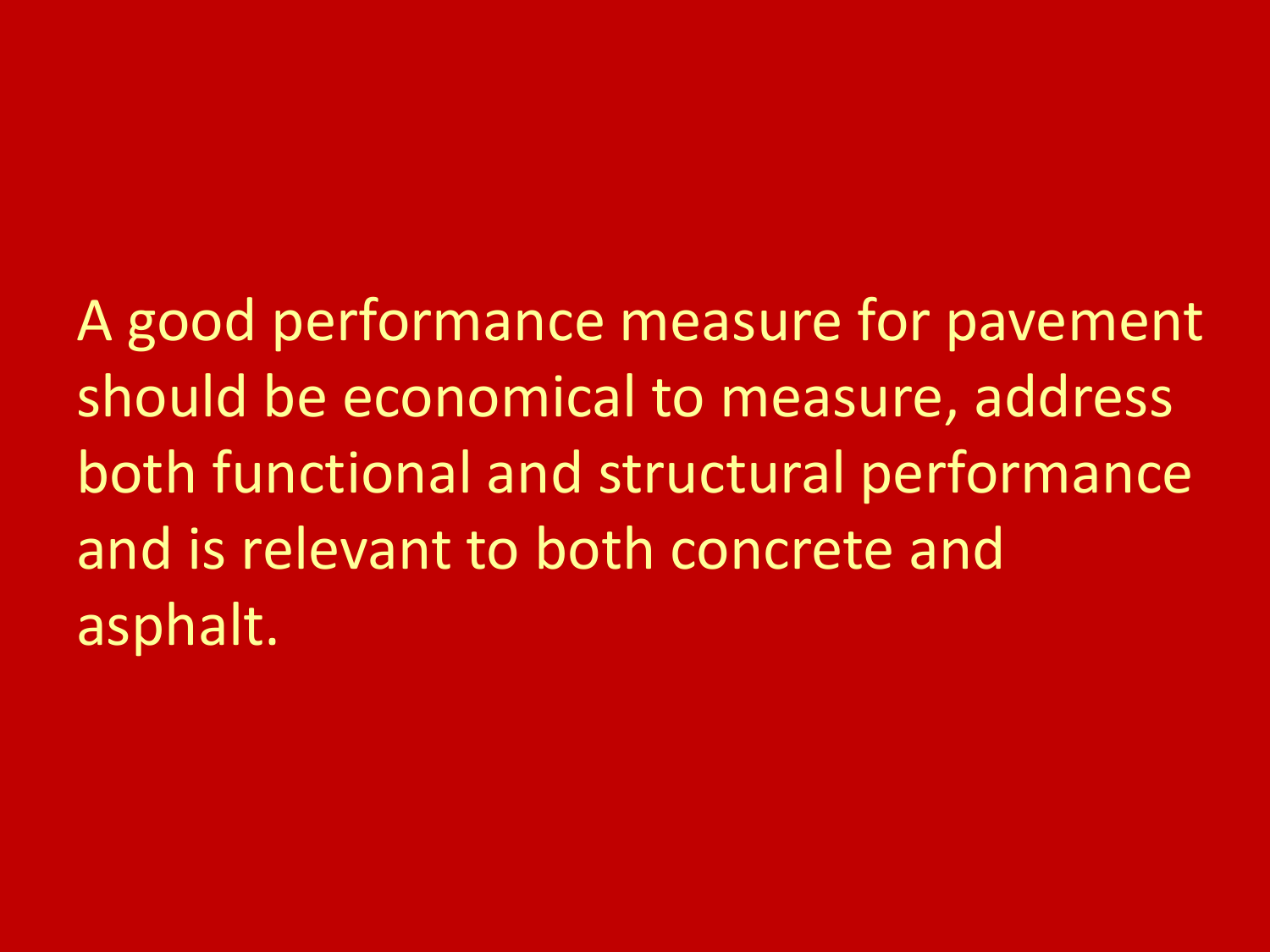A good performance measure for pavement should be economical to measure, address both functional and structural performance and is relevant to both concrete and asphalt.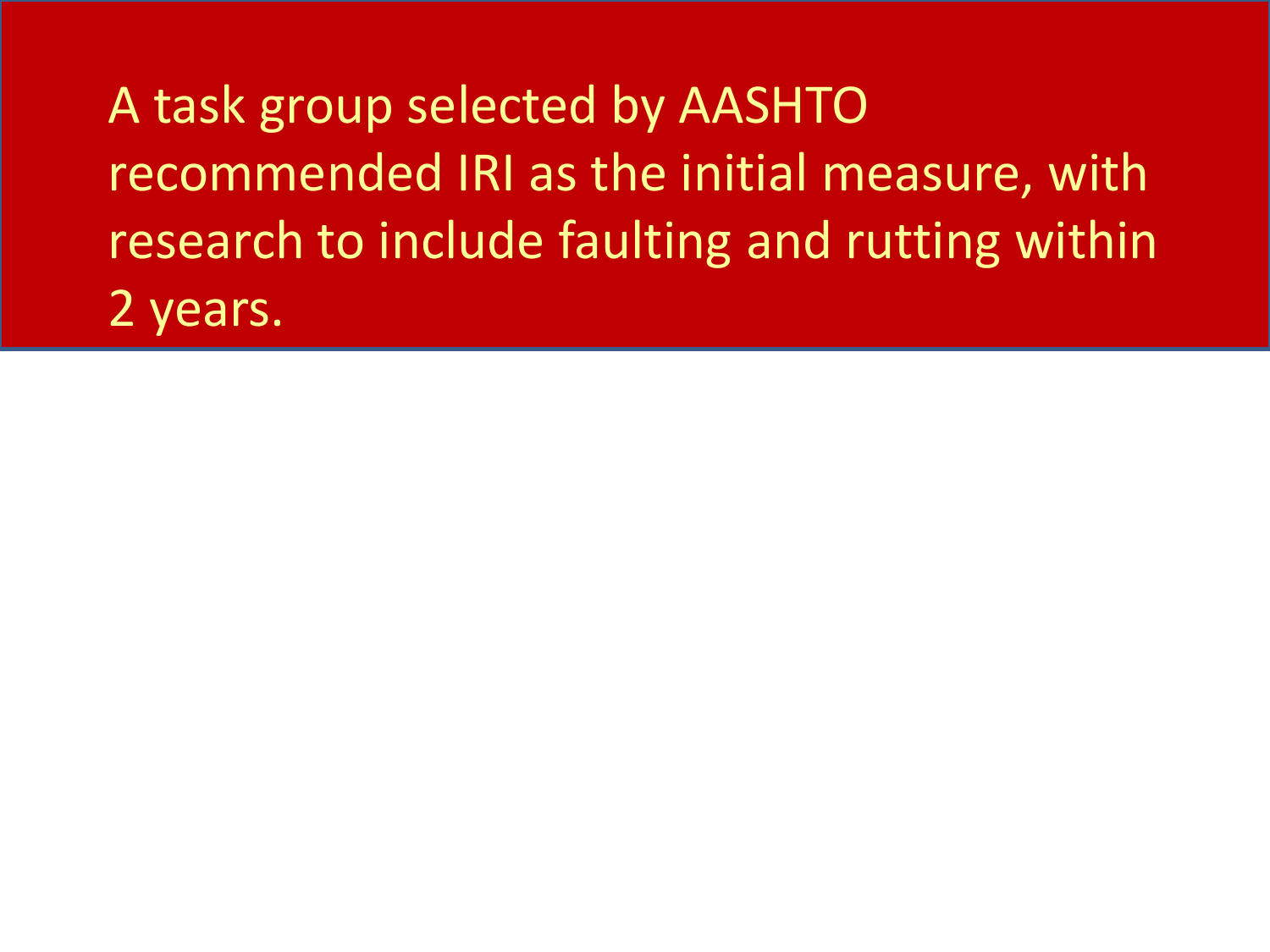A task group selected by AASHTO recommended IRI as the initial measure, with research to include faulting and rutting within 2 years.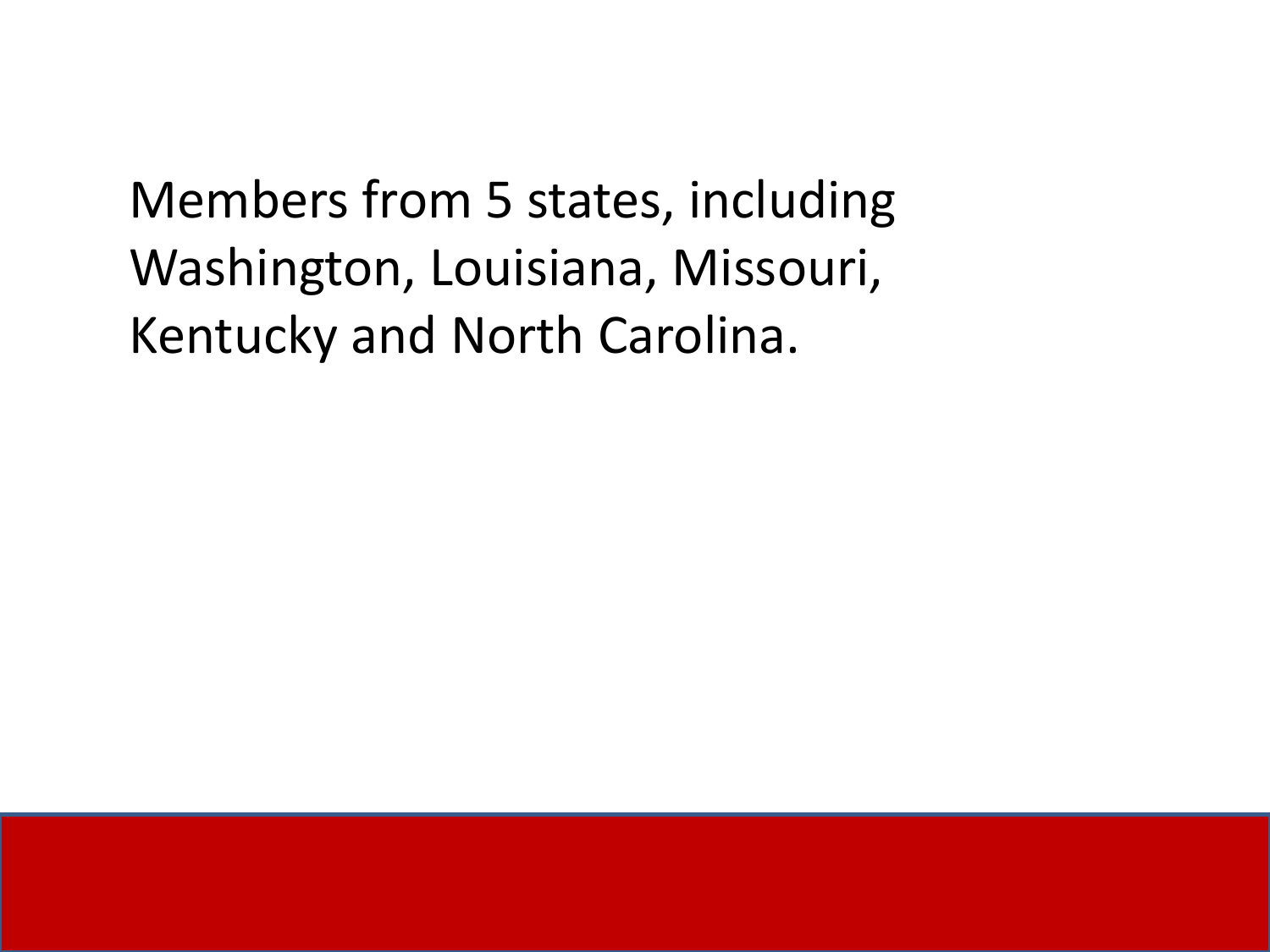Members from 5 states, including Washington, Louisiana, Missouri, Kentucky and North Carolina.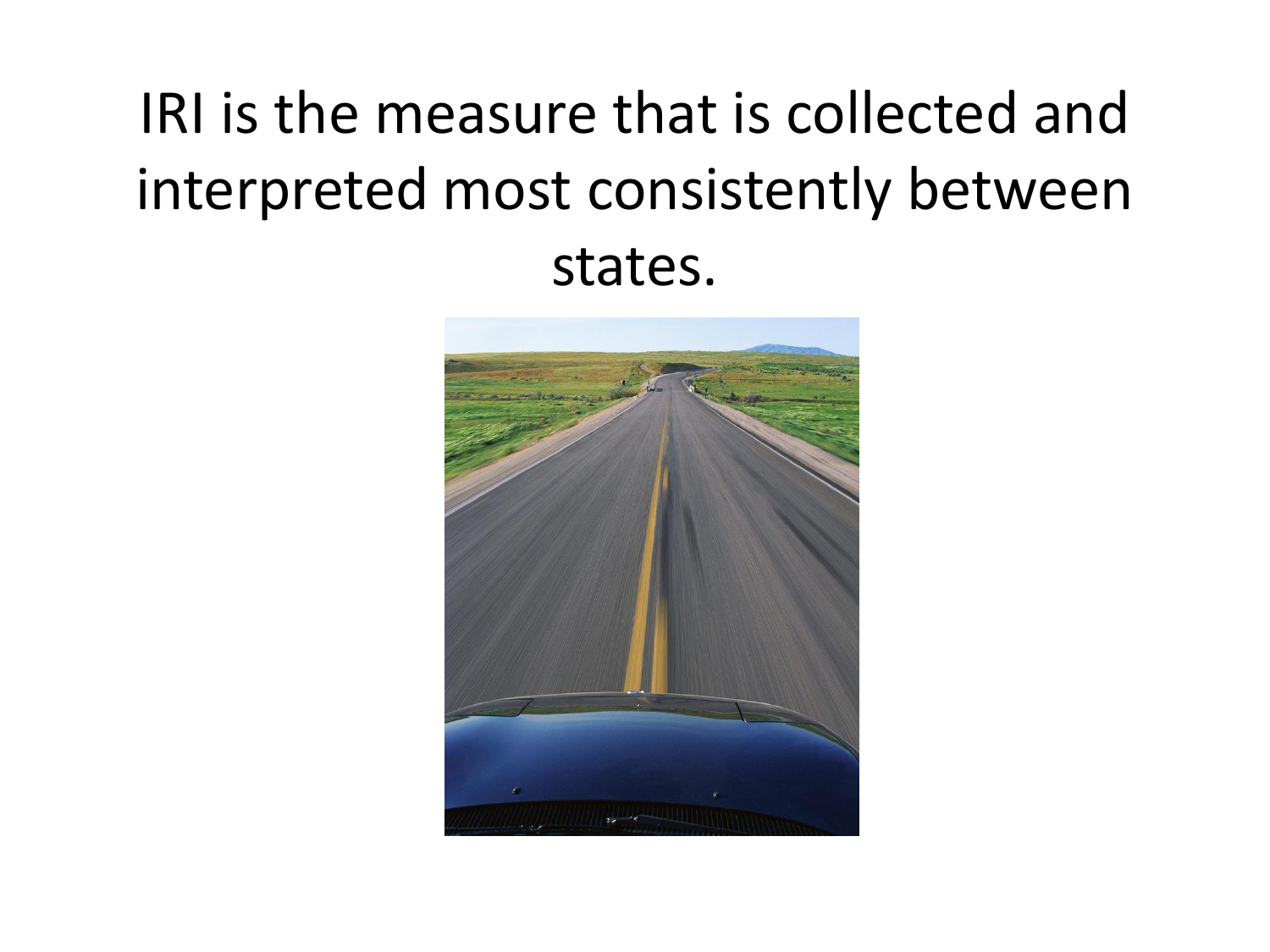## IRI is the measure that is collected and interpreted most consistently between states.

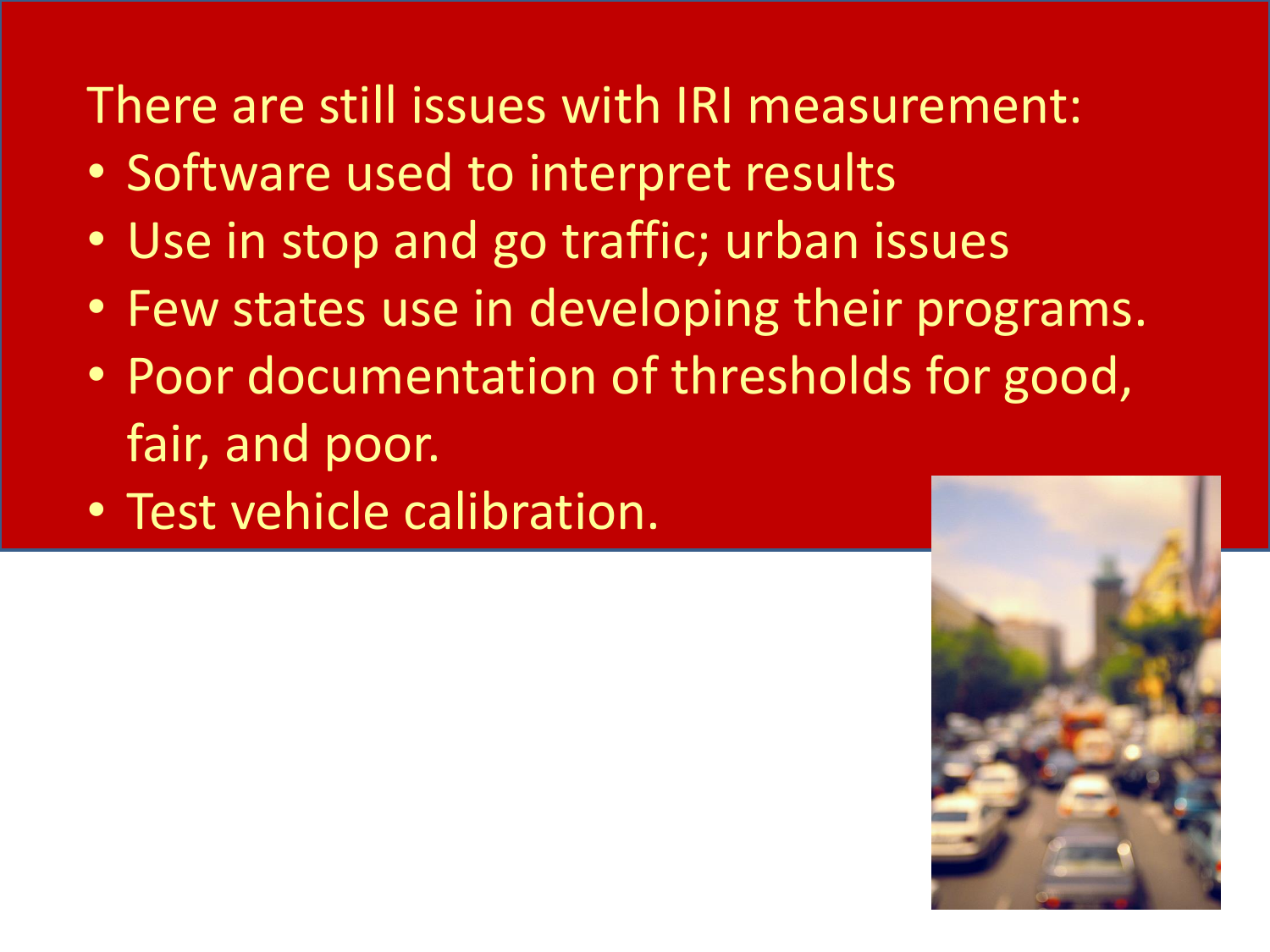There are still issues with IRI measurement:

- Software used to interpret results
- Use in stop and go traffic; urban issues
- Few states use in developing their programs.
- Poor documentation of thresholds for good, fair, and poor.
- Test vehicle calibration.

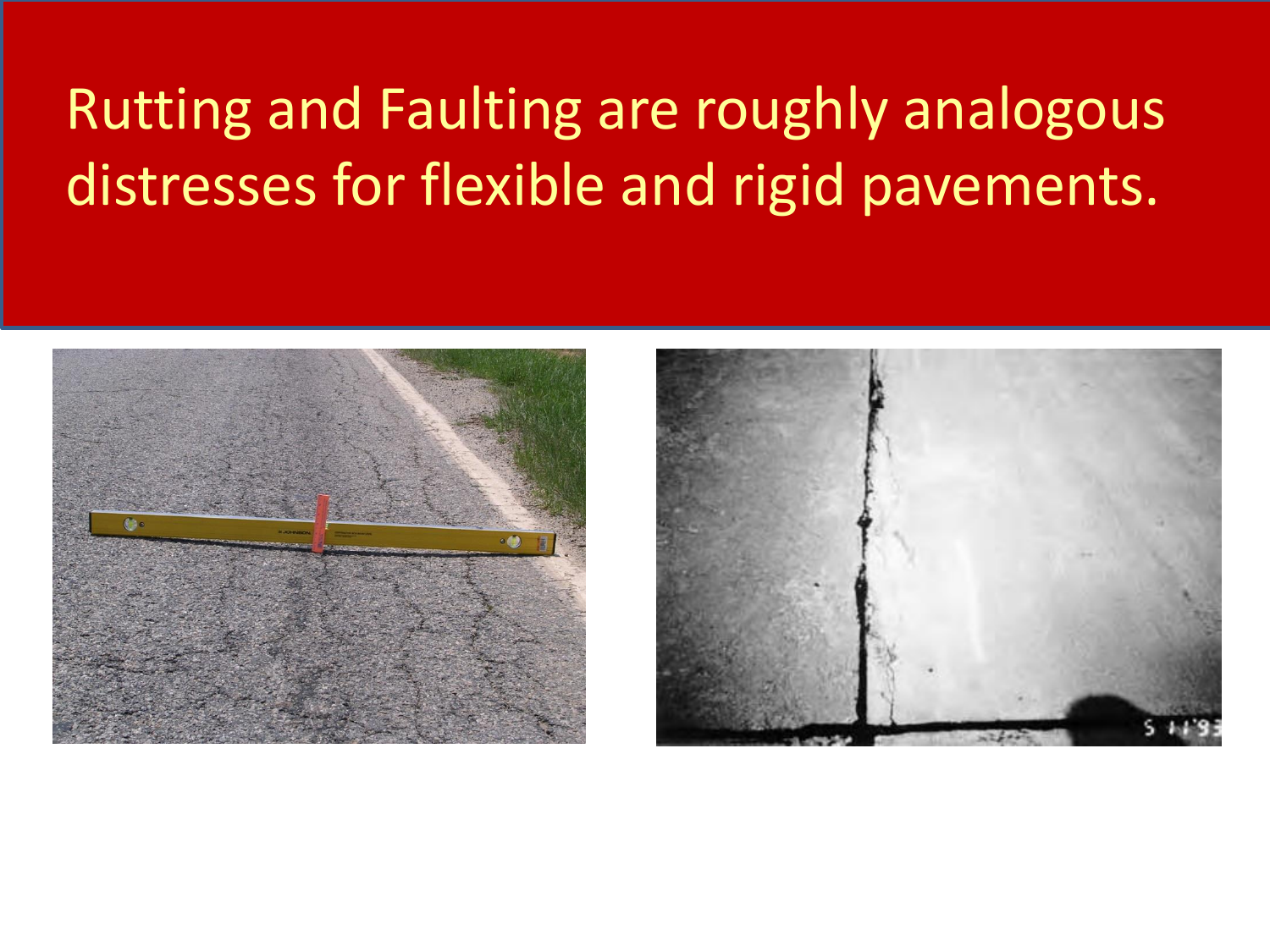### Rutting and Faulting are roughly analogous distresses for flexible and rigid pavements.



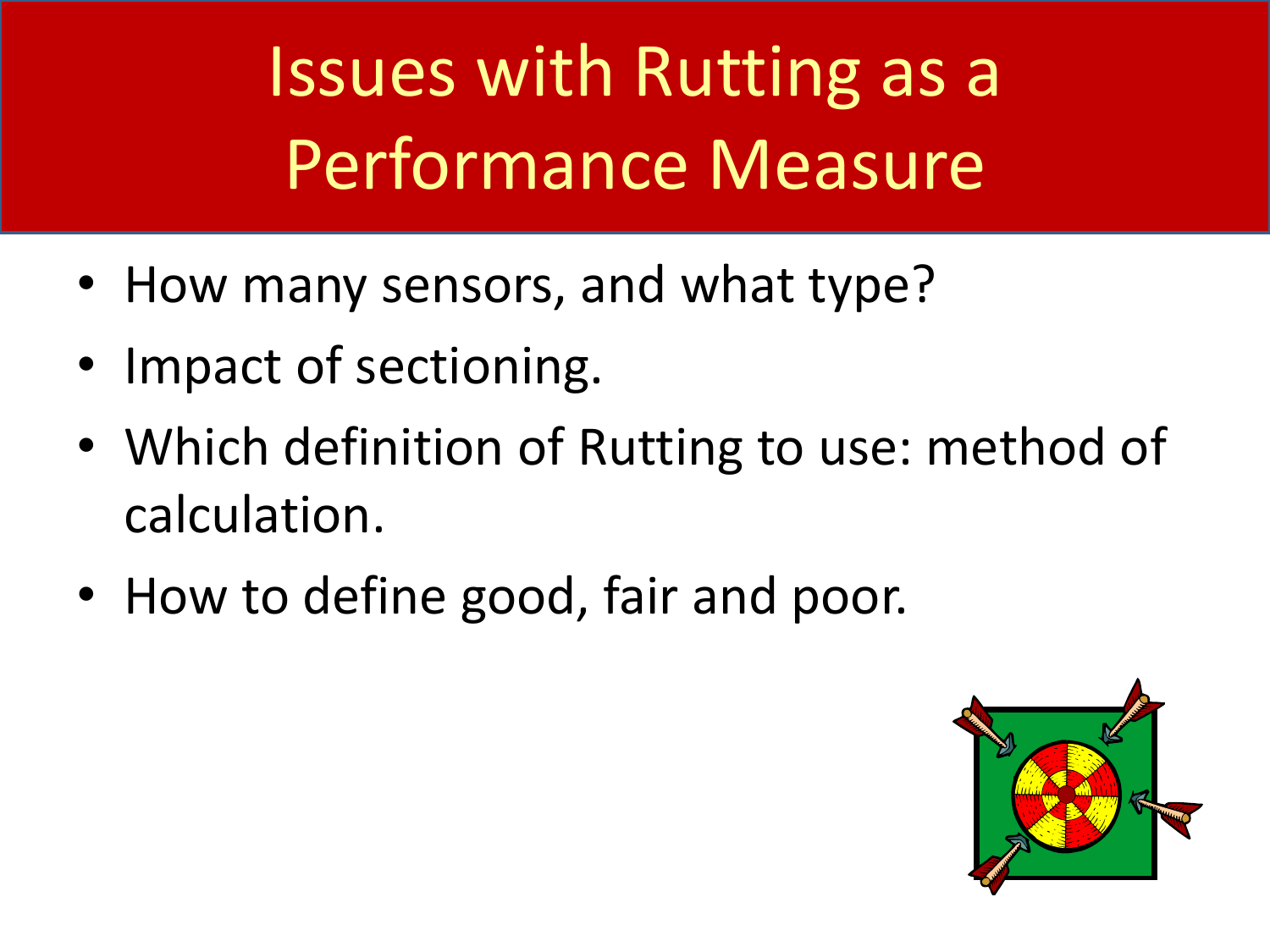Issues with Rutting as a Performance Measure

- How many sensors, and what type?
- Impact of sectioning.
- Which definition of Rutting to use: method of calculation.
- How to define good, fair and poor.

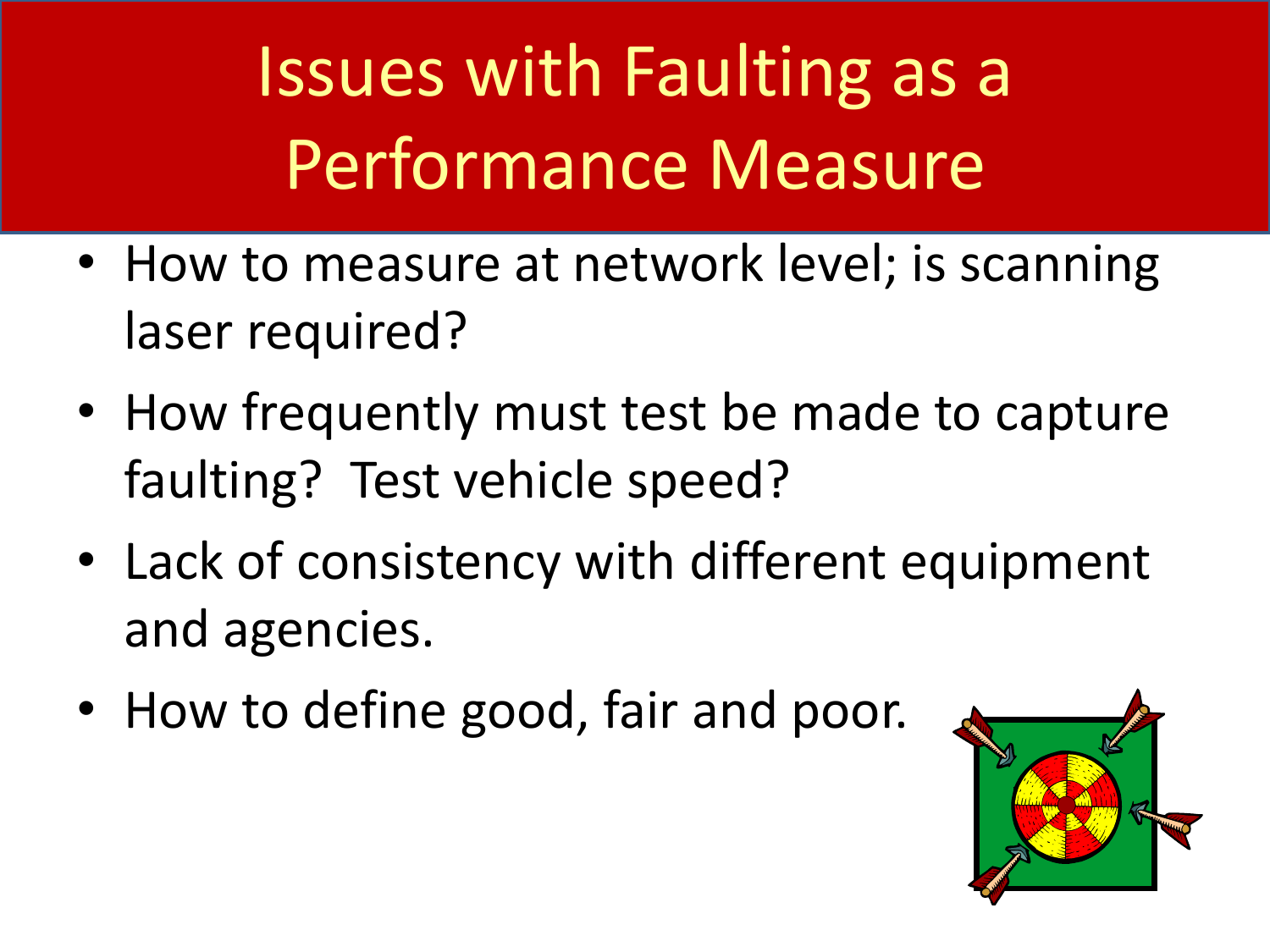Issues with Faulting as a Performance Measure

- How to measure at network level; is scanning laser required?
- How frequently must test be made to capture faulting? Test vehicle speed?
- Lack of consistency with different equipment and agencies.
- How to define good, fair and poor.

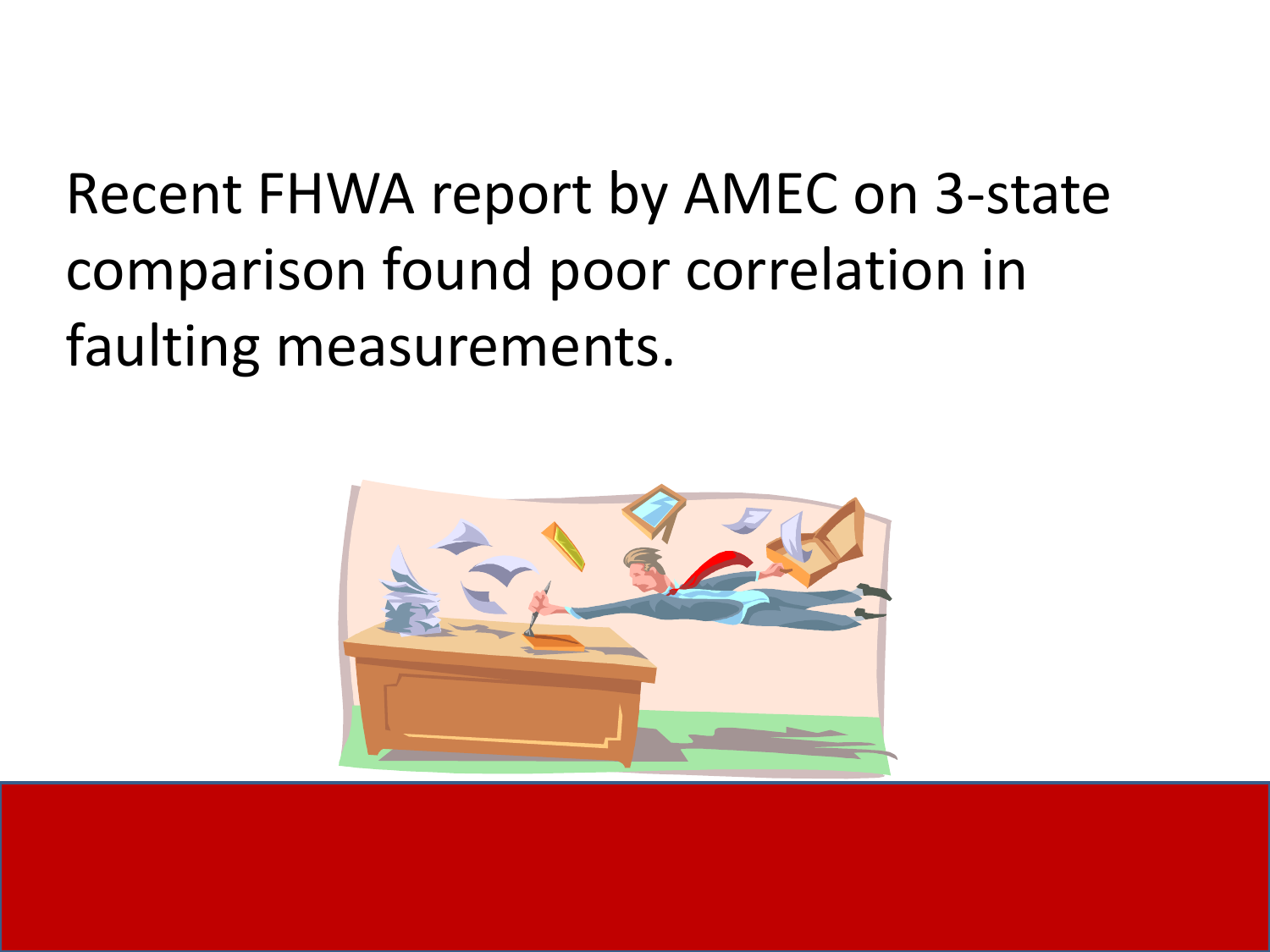## Recent FHWA report by AMEC on 3-state comparison found poor correlation in faulting measurements.

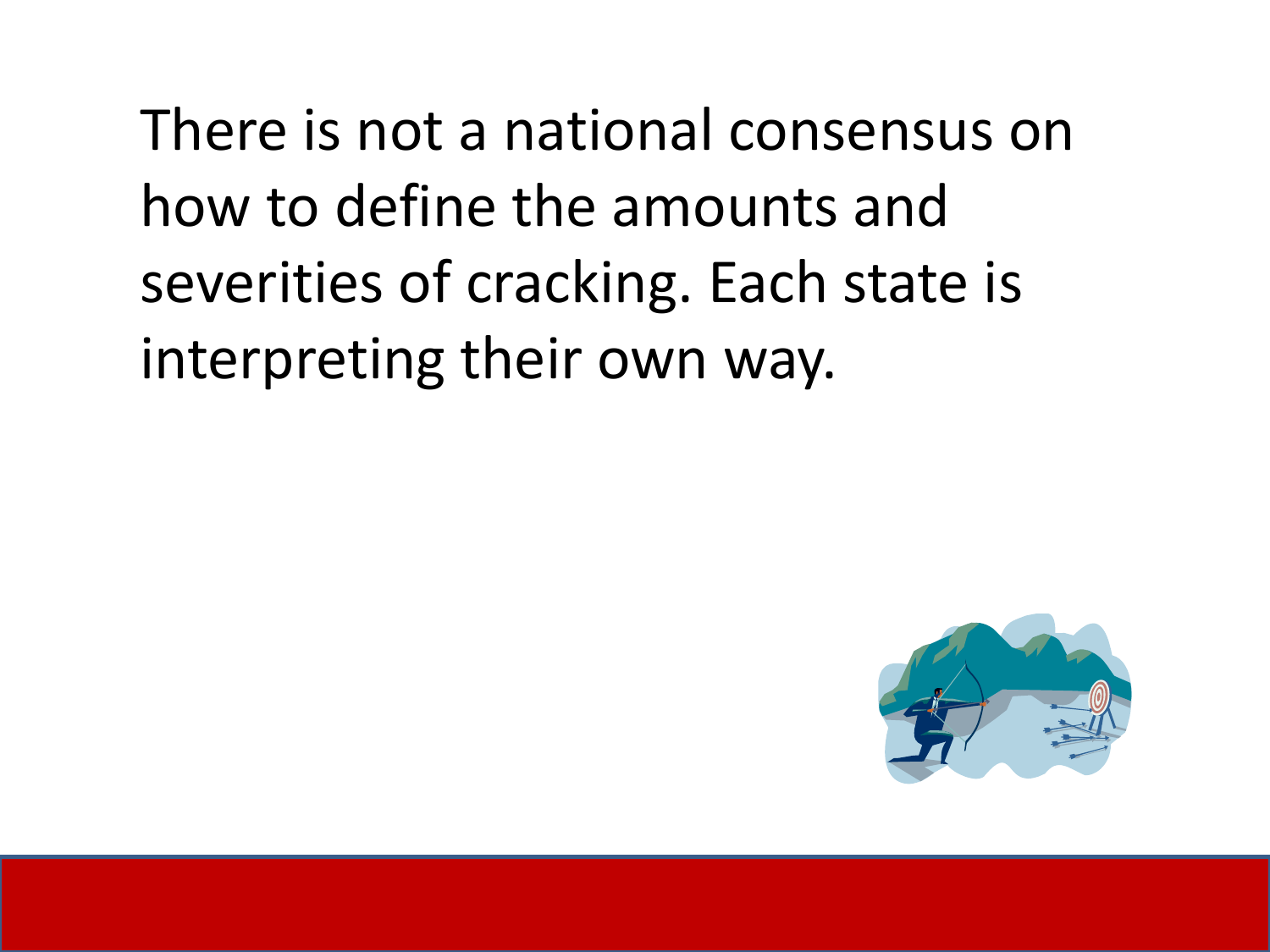There is not a national consensus on how to define the amounts and severities of cracking. Each state is interpreting their own way.

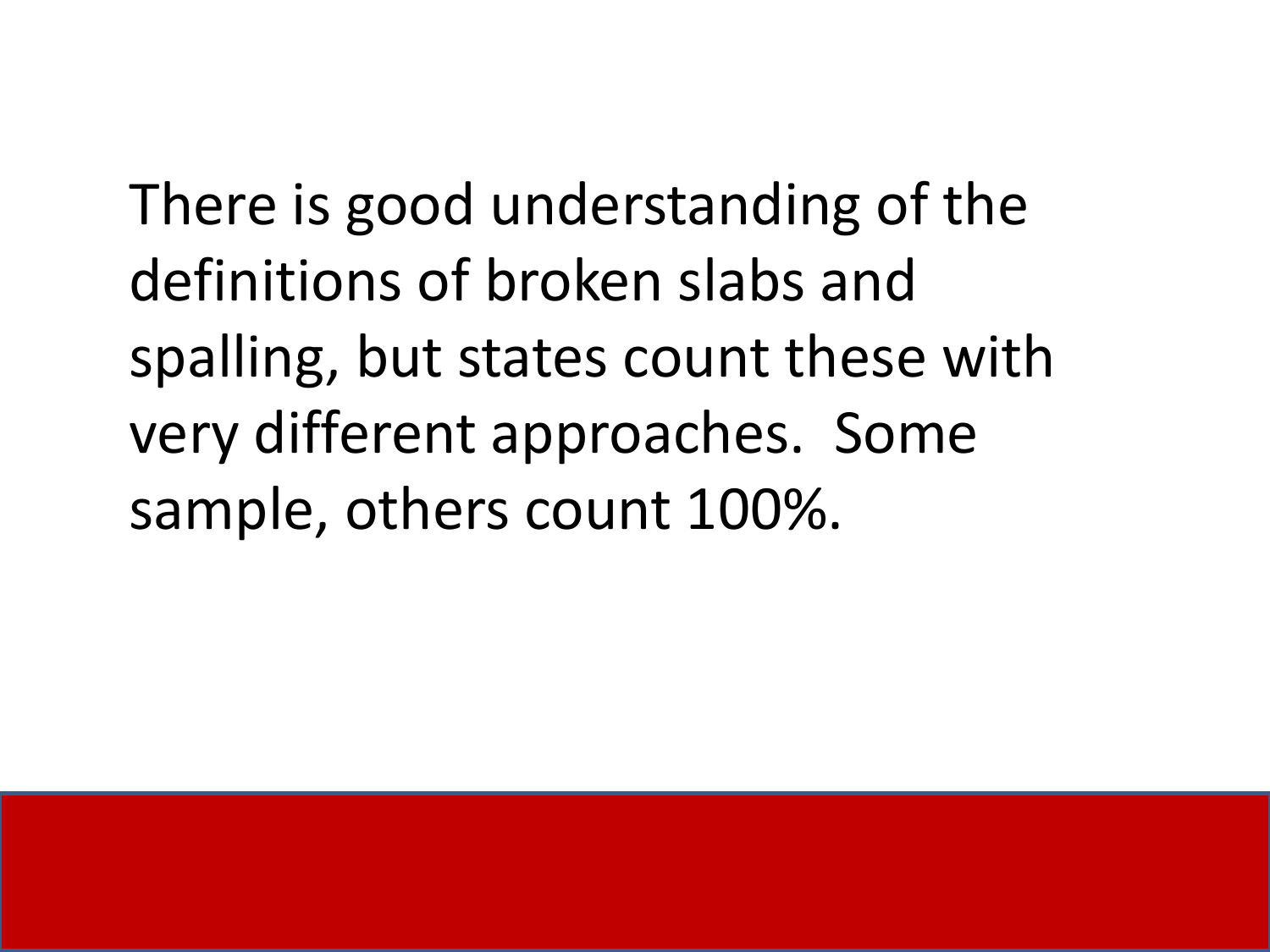There is good understanding of the definitions of broken slabs and spalling, but states count these with very different approaches. Some sample, others count 100%.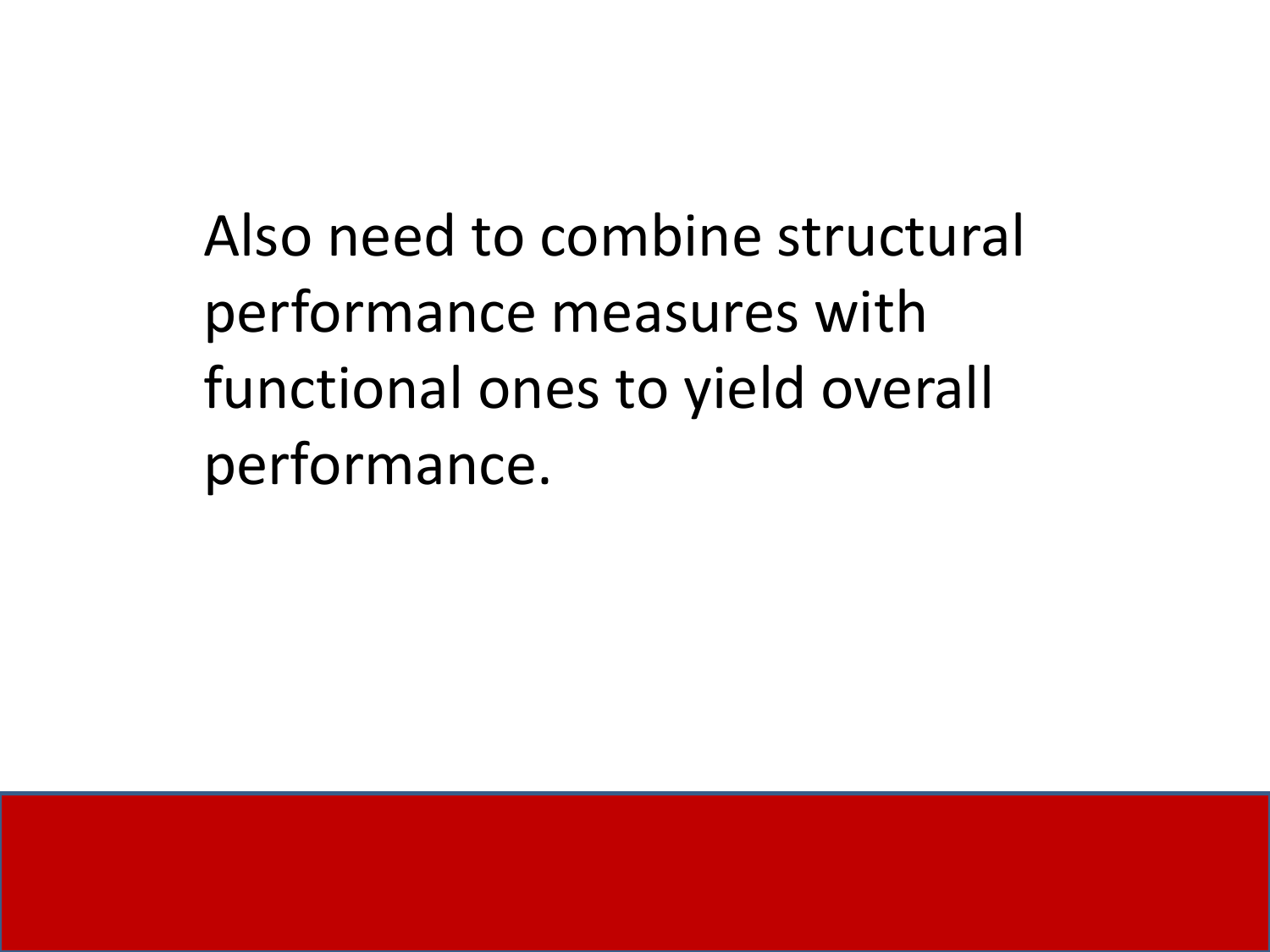Also need to combine structural performance measures with functional ones to yield overall performance.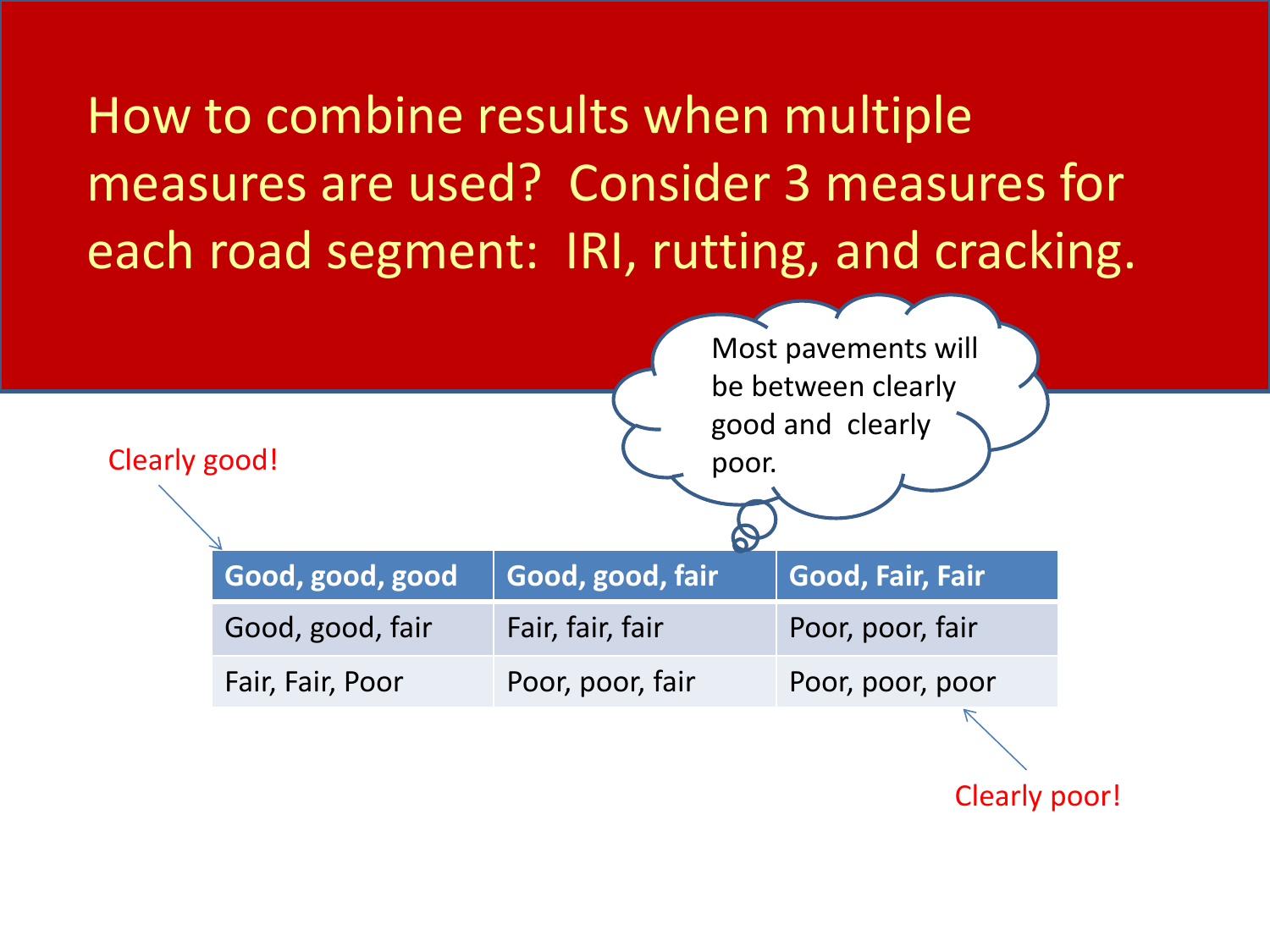How to combine results when multiple measures are used? Consider 3 measures for each road segment: IRI, rutting, and cracking.

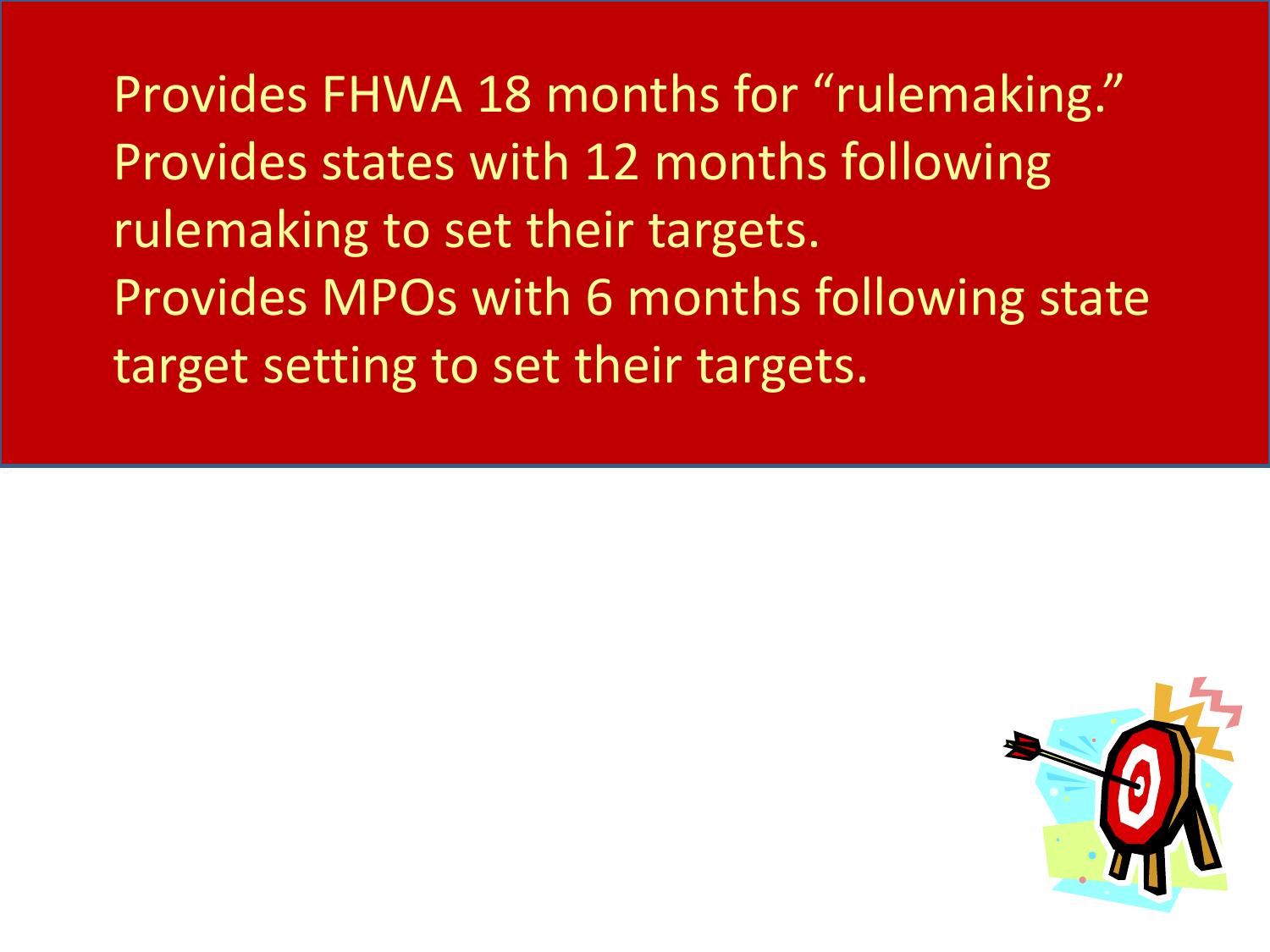Provides FHWA 18 months for "rulemaking." Provides states with 12 months following rulemaking to set their targets. Provides MPOs with 6 months following state target setting to set their targets.

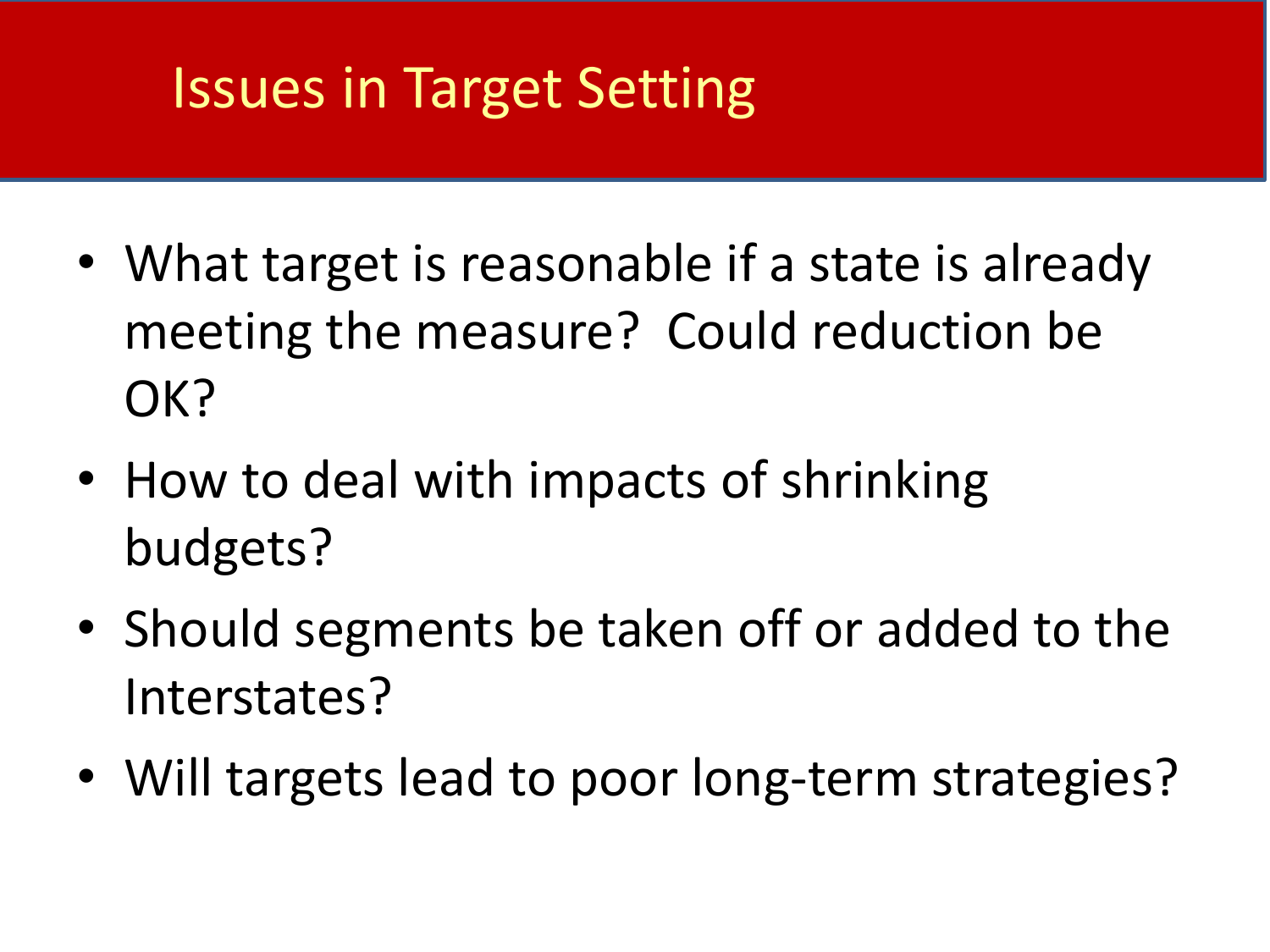#### Issues in Target Setting

- What target is reasonable if a state is already meeting the measure? Could reduction be OK?
- How to deal with impacts of shrinking budgets?
- Should segments be taken off or added to the Interstates?
- Will targets lead to poor long-term strategies?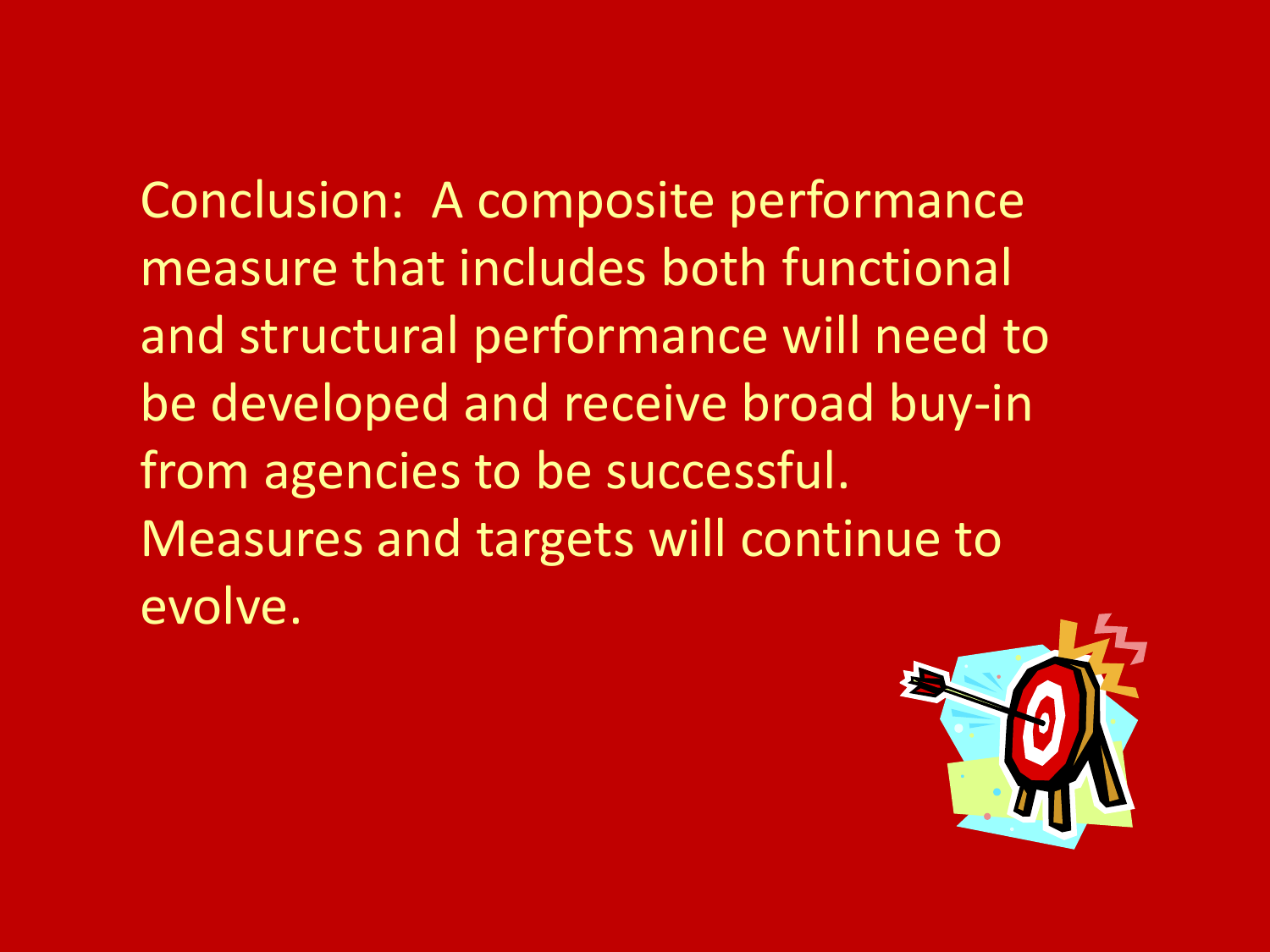Conclusion: A composite performance measure that includes both functional and structural performance will need to be developed and receive broad buy-in from agencies to be successful. Measures and targets will continue to evolve.